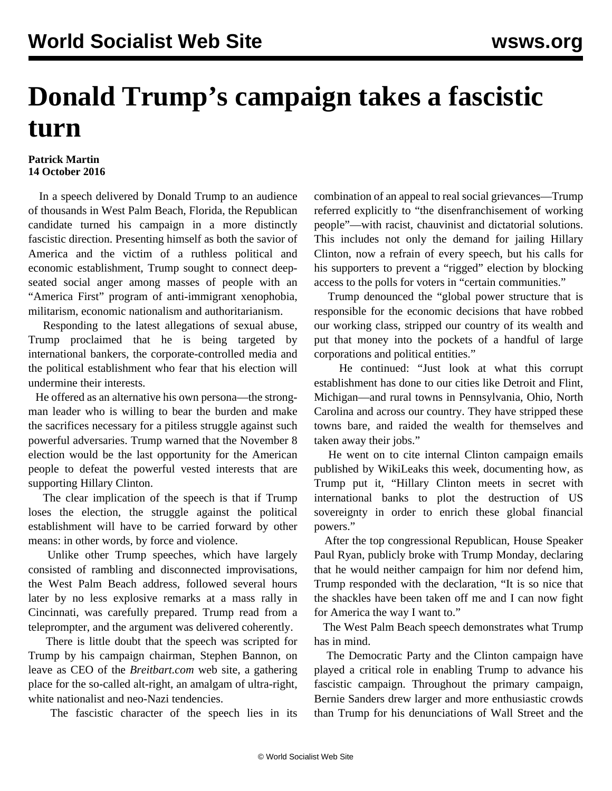## **Donald Trump's campaign takes a fascistic turn**

## **Patrick Martin 14 October 2016**

 In a speech delivered by Donald Trump to an audience of thousands in West Palm Beach, Florida, the Republican candidate turned his campaign in a more distinctly fascistic direction. Presenting himself as both the savior of America and the victim of a ruthless political and economic establishment, Trump sought to connect deepseated social anger among masses of people with an "America First" program of anti-immigrant xenophobia, militarism, economic nationalism and authoritarianism.

 Responding to the latest allegations of sexual abuse, Trump proclaimed that he is being targeted by international bankers, the corporate-controlled media and the political establishment who fear that his election will undermine their interests.

 He offered as an alternative his own persona—the strongman leader who is willing to bear the burden and make the sacrifices necessary for a pitiless struggle against such powerful adversaries. Trump warned that the November 8 election would be the last opportunity for the American people to defeat the powerful vested interests that are supporting Hillary Clinton.

 The clear implication of the speech is that if Trump loses the election, the struggle against the political establishment will have to be carried forward by other means: in other words, by force and violence.

 Unlike other Trump speeches, which have largely consisted of rambling and disconnected improvisations, the West Palm Beach address, followed several hours later by no less explosive remarks at a mass rally in Cincinnati, was carefully prepared. Trump read from a teleprompter, and the argument was delivered coherently.

 There is little doubt that the speech was scripted for Trump by his campaign chairman, Stephen Bannon, on leave as CEO of the *Breitbart.com* web site, a gathering place for the so-called alt-right, an amalgam of ultra-right, white nationalist and neo-Nazi tendencies.

The fascistic character of the speech lies in its

combination of an appeal to real social grievances—Trump referred explicitly to "the disenfranchisement of working people"—with racist, chauvinist and dictatorial solutions. This includes not only the demand for jailing Hillary Clinton, now a refrain of every speech, but his calls for his supporters to prevent a "rigged" election by blocking access to the polls for voters in "certain communities."

 Trump denounced the "global power structure that is responsible for the economic decisions that have robbed our working class, stripped our country of its wealth and put that money into the pockets of a handful of large corporations and political entities."

 He continued: "Just look at what this corrupt establishment has done to our cities like Detroit and Flint, Michigan—and rural towns in Pennsylvania, Ohio, North Carolina and across our country. They have stripped these towns bare, and raided the wealth for themselves and taken away their jobs."

 He went on to cite internal Clinton campaign emails published by WikiLeaks this week, documenting how, as Trump put it, "Hillary Clinton meets in secret with international banks to plot the destruction of US sovereignty in order to enrich these global financial powers."

 After the top congressional Republican, House Speaker Paul Ryan, publicly broke with Trump Monday, declaring that he would neither campaign for him nor defend him, Trump responded with the declaration, "It is so nice that the shackles have been taken off me and I can now fight for America the way I want to."

 The West Palm Beach speech demonstrates what Trump has in mind.

 The Democratic Party and the Clinton campaign have played a critical role in enabling Trump to advance his fascistic campaign. Throughout the primary campaign, Bernie Sanders drew larger and more enthusiastic crowds than Trump for his denunciations of Wall Street and the